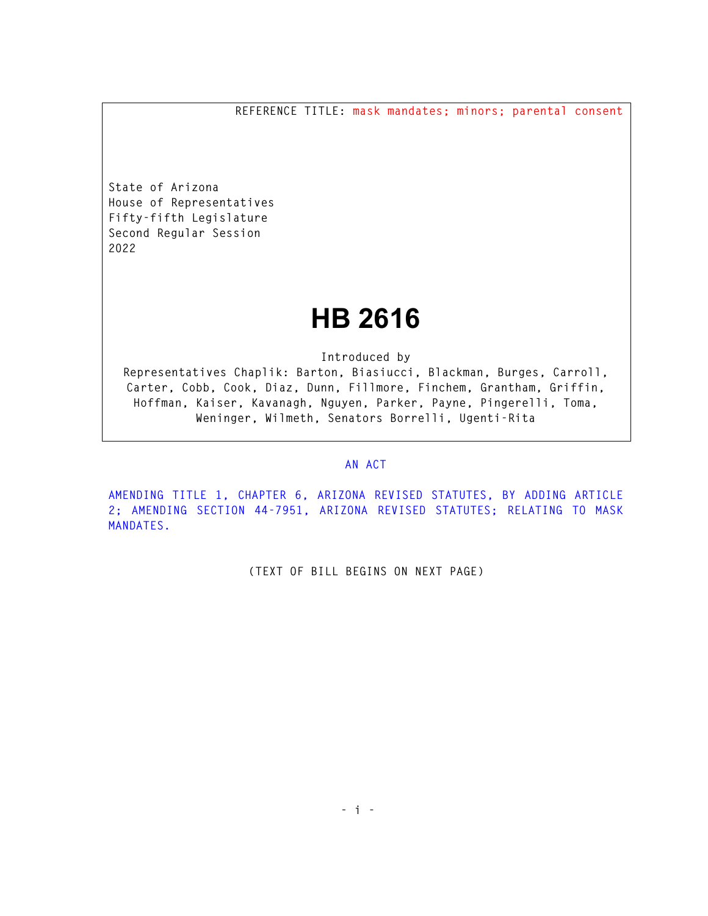**REFERENCE TITLE: mask mandates; minors; parental consent** 

**State of Arizona House of Representatives Fifty-fifth Legislature Second Regular Session 2022** 

## **HB 2616**

**Introduced by** 

**Representatives Chaplik: Barton, Biasiucci, Blackman, Burges, Carroll, Carter, Cobb, Cook, Diaz, Dunn, Fillmore, Finchem, Grantham, Griffin, Hoffman, Kaiser, Kavanagh, Nguyen, Parker, Payne, Pingerelli, Toma, Weninger, Wilmeth, Senators Borrelli, Ugenti-Rita** 

## **AN ACT**

**AMENDING TITLE 1, CHAPTER 6, ARIZONA REVISED STATUTES, BY ADDING ARTICLE 2; AMENDING SECTION 44-7951, ARIZONA REVISED STATUTES; RELATING TO MASK MANDATES.** 

**(TEXT OF BILL BEGINS ON NEXT PAGE)**